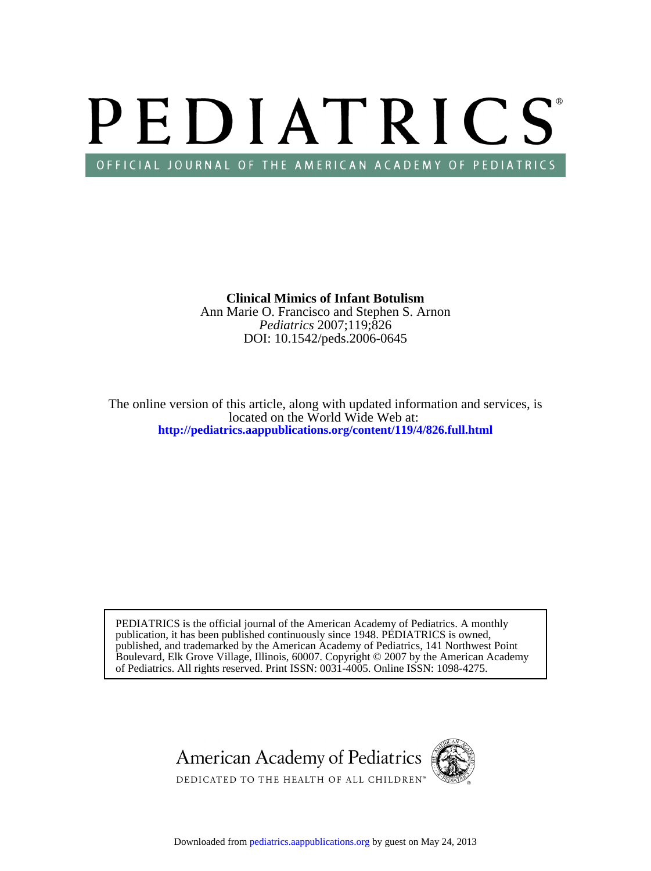# PEDIATRICS OFFICIAL JOURNAL OF THE AMERICAN ACADEMY OF PEDIATRICS

DOI: 10.1542/peds.2006-0645 *Pediatrics* 2007;119;826 Ann Marie O. Francisco and Stephen S. Arnon **Clinical Mimics of Infant Botulism**

**<http://pediatrics.aappublications.org/content/119/4/826.full.html>** located on the World Wide Web at: The online version of this article, along with updated information and services, is

of Pediatrics. All rights reserved. Print ISSN: 0031-4005. Online ISSN: 1098-4275. Boulevard, Elk Grove Village, Illinois, 60007. Copyright © 2007 by the American Academy published, and trademarked by the American Academy of Pediatrics, 141 Northwest Point publication, it has been published continuously since 1948. PEDIATRICS is owned, PEDIATRICS is the official journal of the American Academy of Pediatrics. A monthly

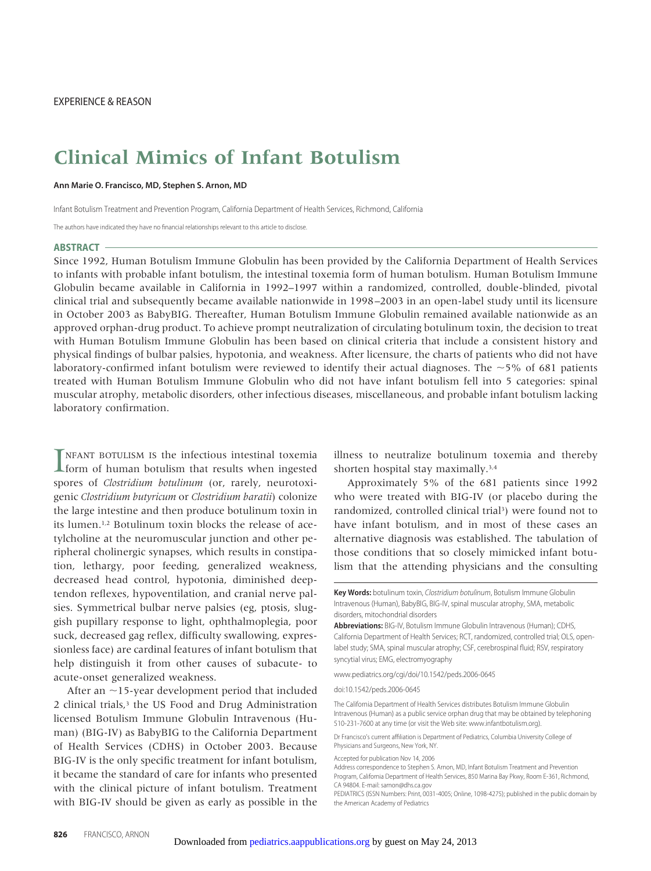## **Clinical Mimics of Infant Botulism**

**Ann Marie O. Francisco, MD, Stephen S. Arnon, MD**

Infant Botulism Treatment and Prevention Program, California Department of Health Services, Richmond, California

The authors have indicated they have no financial relationships relevant to this article to disclose.

#### **ABSTRACT**

Since 1992, Human Botulism Immune Globulin has been provided by the California Department of Health Services to infants with probable infant botulism, the intestinal toxemia form of human botulism. Human Botulism Immune Globulin became available in California in 1992–1997 within a randomized, controlled, double-blinded, pivotal clinical trial and subsequently became available nationwide in 1998–2003 in an open-label study until its licensure in October 2003 as BabyBIG. Thereafter, Human Botulism Immune Globulin remained available nationwide as an approved orphan-drug product. To achieve prompt neutralization of circulating botulinum toxin, the decision to treat with Human Botulism Immune Globulin has been based on clinical criteria that include a consistent history and physical findings of bulbar palsies, hypotonia, and weakness. After licensure, the charts of patients who did not have laboratory-confirmed infant botulism were reviewed to identify their actual diagnoses. The  $\sim$ 5% of 681 patients treated with Human Botulism Immune Globulin who did not have infant botulism fell into 5 categories: spinal muscular atrophy, metabolic disorders, other infectious diseases, miscellaneous, and probable infant botulism lacking laboratory confirmation.

**INFANT BOTULISM IS the infectious intestinal toxemia** form of human botulism that results when ingested NFANT BOTULISM IS the infectious intestinal toxemia spores of *Clostridium botulinum* (or, rarely, neurotoxigenic *Clostridium butyricum* or *Clostridium baratii*) colonize the large intestine and then produce botulinum toxin in its lumen.1,2 Botulinum toxin blocks the release of acetylcholine at the neuromuscular junction and other peripheral cholinergic synapses, which results in constipation, lethargy, poor feeding, generalized weakness, decreased head control, hypotonia, diminished deeptendon reflexes, hypoventilation, and cranial nerve palsies. Symmetrical bulbar nerve palsies (eg, ptosis, sluggish pupillary response to light, ophthalmoplegia, poor suck, decreased gag reflex, difficulty swallowing, expressionless face) are cardinal features of infant botulism that help distinguish it from other causes of subacute- to acute-onset generalized weakness.

After an  $\sim$ 15-year development period that included 2 clinical trials,<sup>3</sup> the US Food and Drug Administration licensed Botulism Immune Globulin Intravenous (Human) (BIG-IV) as BabyBIG to the California Department of Health Services (CDHS) in October 2003. Because BIG-IV is the only specific treatment for infant botulism, it became the standard of care for infants who presented with the clinical picture of infant botulism. Treatment with BIG-IV should be given as early as possible in the illness to neutralize botulinum toxemia and thereby shorten hospital stay maximally.3,4

Approximately 5% of the 681 patients since 1992 who were treated with BIG-IV (or placebo during the randomized, controlled clinical trial<sup>3</sup>) were found not to have infant botulism, and in most of these cases an alternative diagnosis was established. The tabulation of those conditions that so closely mimicked infant botulism that the attending physicians and the consulting

**Key Words:** botulinum toxin, Clostridium botulinum, Botulism Immune Globulin Intravenous (Human), BabyBIG, BIG-IV, spinal muscular atrophy, SMA, metabolic disorders, mitochondrial disorders

www.pediatrics.org/cgi/doi/10.1542/peds.2006-0645

doi:10.1542/peds.2006-0645

The California Department of Health Services distributes Botulism Immune Globulin Intravenous (Human) as a public service orphan drug that may be obtained by telephoning 510-231-7600 at any time (or visit the Web site: www.infantbotulism.org).

Dr Francisco's current affiliation is Department of Pediatrics, Columbia University College of Physicians and Surgeons, New York, NY.

Accepted for publication Nov 14, 2006

**Abbreviations:** BIG-IV, Botulism Immune Globulin Intravenous (Human); CDHS, California Department of Health Services; RCT, randomized, controlled trial; OLS, openlabel study; SMA, spinal muscular atrophy; CSF, cerebrospinal fluid; RSV, respiratory syncytial virus; EMG, electromyography

Address correspondence to Stephen S. Arnon, MD, Infant Botulism Treatment and Prevention Program, California Department of Health Services, 850 Marina Bay Pkwy, Room E-361, Richmond, CA 94804. E-mail: sarnon@dhs.ca.gov

PEDIATRICS (ISSN Numbers: Print, 0031-4005; Online, 1098-4275); published in the public domain by the American Academy of Pediatrics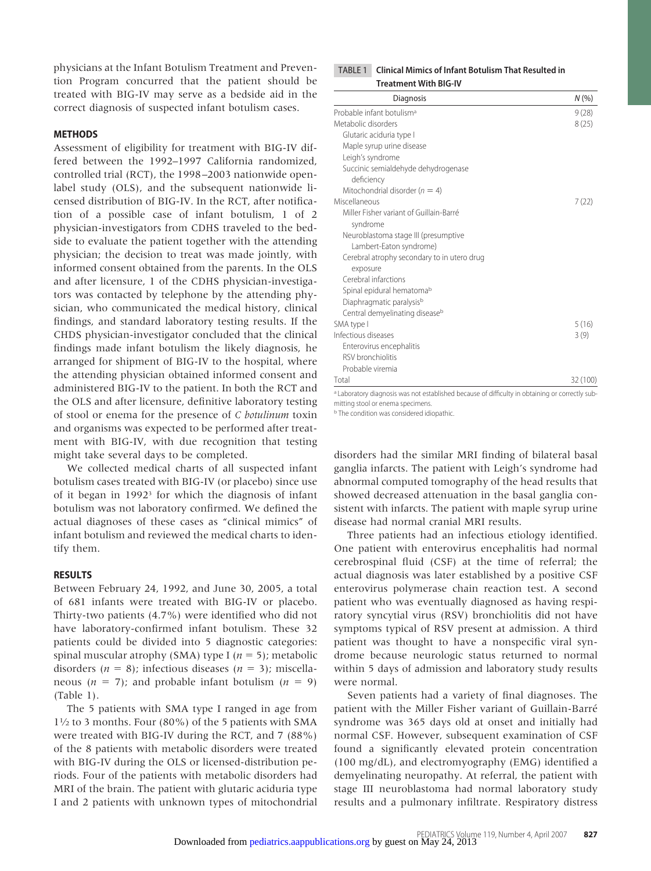physicians at the Infant Botulism Treatment and Prevention Program concurred that the patient should be treated with BIG-IV may serve as a bedside aid in the correct diagnosis of suspected infant botulism cases.

#### **METHODS**

Assessment of eligibility for treatment with BIG-IV differed between the 1992–1997 California randomized, controlled trial (RCT), the 1998–2003 nationwide openlabel study (OLS), and the subsequent nationwide licensed distribution of BIG-IV. In the RCT, after notification of a possible case of infant botulism, 1 of 2 physician-investigators from CDHS traveled to the bedside to evaluate the patient together with the attending physician; the decision to treat was made jointly, with informed consent obtained from the parents. In the OLS and after licensure, 1 of the CDHS physician-investigators was contacted by telephone by the attending physician, who communicated the medical history, clinical findings, and standard laboratory testing results. If the CHDS physician-investigator concluded that the clinical findings made infant botulism the likely diagnosis, he arranged for shipment of BIG-IV to the hospital, where the attending physician obtained informed consent and administered BIG-IV to the patient. In both the RCT and the OLS and after licensure, definitive laboratory testing of stool or enema for the presence of *C botulinum* toxin and organisms was expected to be performed after treatment with BIG-IV, with due recognition that testing might take several days to be completed.

We collected medical charts of all suspected infant botulism cases treated with BIG-IV (or placebo) since use of it began in  $1992<sup>3</sup>$  for which the diagnosis of infant botulism was not laboratory confirmed. We defined the actual diagnoses of these cases as "clinical mimics" of infant botulism and reviewed the medical charts to identify them.

#### **RESULTS**

Between February 24, 1992, and June 30, 2005, a total of 681 infants were treated with BIG-IV or placebo. Thirty-two patients (4.7%) were identified who did not have laboratory-confirmed infant botulism. These 32 patients could be divided into 5 diagnostic categories: spinal muscular atrophy (SMA) type I ( $n = 5$ ); metabolic disorders ( $n = 8$ ); infectious diseases ( $n = 3$ ); miscellaneous ( $n = 7$ ); and probable infant botulism ( $n = 9$ ) (Table 1).

The 5 patients with SMA type I ranged in age from  $1\frac{1}{2}$  to 3 months. Four (80%) of the 5 patients with SMA were treated with BIG-IV during the RCT, and 7 (88%) of the 8 patients with metabolic disorders were treated with BIG-IV during the OLS or licensed-distribution periods. Four of the patients with metabolic disorders had MRI of the brain. The patient with glutaric aciduria type I and 2 patients with unknown types of mitochondrial

#### TABLE 1 **Clinical Mimics of Infant Botulism That Resulted in Treatment With BIG-IV**

| Diagnosis                                   | N(%      |
|---------------------------------------------|----------|
| Probable infant botulism <sup>a</sup>       | 9(28)    |
| Metabolic disorders                         | 8(25)    |
| Glutaric aciduria type I                    |          |
| Maple syrup urine disease                   |          |
| Leigh's syndrome                            |          |
| Succinic semialdehyde dehydrogenase         |          |
| deficiency                                  |          |
| Mitochondrial disorder ( $n = 4$ )          |          |
| Miscellaneous                               | 7 (22)   |
| Miller Fisher variant of Guillain-Barré     |          |
| syndrome                                    |          |
| Neuroblastoma stage III (presumptive        |          |
| Lambert-Eaton syndrome)                     |          |
| Cerebral atrophy secondary to in utero drug |          |
| exposure                                    |          |
| Cerebral infarctions                        |          |
| Spinal epidural hematoma <sup>b</sup>       |          |
| Diaphragmatic paralysis <sup>b</sup>        |          |
| Central demyelinating disease <sup>b</sup>  |          |
| SMA type I                                  | 5(16)    |
| Infectious diseases                         | 3(9)     |
| Enterovirus encephalitis                    |          |
| RSV bronchiolitis                           |          |
| Probable viremia                            |          |
| Total                                       | 32 (100) |

<sup>a</sup> Laboratory diagnosis was not established because of difficulty in obtaining or correctly submitting stool or enema specimens.

**b** The condition was considered idiopathic.

disorders had the similar MRI finding of bilateral basal ganglia infarcts. The patient with Leigh's syndrome had abnormal computed tomography of the head results that showed decreased attenuation in the basal ganglia consistent with infarcts. The patient with maple syrup urine disease had normal cranial MRI results.

Three patients had an infectious etiology identified. One patient with enterovirus encephalitis had normal cerebrospinal fluid (CSF) at the time of referral; the actual diagnosis was later established by a positive CSF enterovirus polymerase chain reaction test. A second patient who was eventually diagnosed as having respiratory syncytial virus (RSV) bronchiolitis did not have symptoms typical of RSV present at admission. A third patient was thought to have a nonspecific viral syndrome because neurologic status returned to normal within 5 days of admission and laboratory study results were normal.

Seven patients had a variety of final diagnoses. The patient with the Miller Fisher variant of Guillain-Barré syndrome was 365 days old at onset and initially had normal CSF. However, subsequent examination of CSF found a significantly elevated protein concentration (100 mg/dL), and electromyography (EMG) identified a demyelinating neuropathy. At referral, the patient with stage III neuroblastoma had normal laboratory study results and a pulmonary infiltrate. Respiratory distress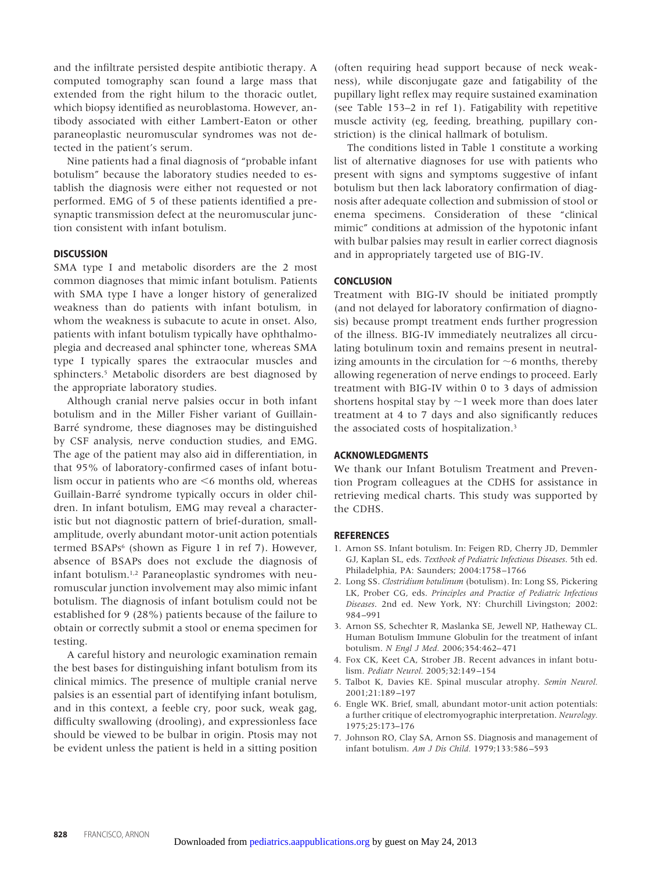and the infiltrate persisted despite antibiotic therapy. A computed tomography scan found a large mass that extended from the right hilum to the thoracic outlet, which biopsy identified as neuroblastoma. However, antibody associated with either Lambert-Eaton or other paraneoplastic neuromuscular syndromes was not detected in the patient's serum.

Nine patients had a final diagnosis of "probable infant botulism" because the laboratory studies needed to establish the diagnosis were either not requested or not performed. EMG of 5 of these patients identified a presynaptic transmission defect at the neuromuscular junction consistent with infant botulism.

#### **DISCUSSION**

SMA type I and metabolic disorders are the 2 most common diagnoses that mimic infant botulism. Patients with SMA type I have a longer history of generalized weakness than do patients with infant botulism, in whom the weakness is subacute to acute in onset. Also, patients with infant botulism typically have ophthalmoplegia and decreased anal sphincter tone, whereas SMA type I typically spares the extraocular muscles and sphincters.<sup>5</sup> Metabolic disorders are best diagnosed by the appropriate laboratory studies.

Although cranial nerve palsies occur in both infant botulism and in the Miller Fisher variant of Guillain-Barré syndrome, these diagnoses may be distinguished by CSF analysis, nerve conduction studies, and EMG. The age of the patient may also aid in differentiation, in that 95% of laboratory-confirmed cases of infant botulism occur in patients who are  $\leq 6$  months old, whereas Guillain-Barré syndrome typically occurs in older children. In infant botulism, EMG may reveal a characteristic but not diagnostic pattern of brief-duration, smallamplitude, overly abundant motor-unit action potentials termed BSAPs<sup>6</sup> (shown as Figure 1 in ref 7). However, absence of BSAPs does not exclude the diagnosis of infant botulism.1,2 Paraneoplastic syndromes with neuromuscular junction involvement may also mimic infant botulism. The diagnosis of infant botulism could not be established for 9 (28%) patients because of the failure to obtain or correctly submit a stool or enema specimen for testing.

A careful history and neurologic examination remain the best bases for distinguishing infant botulism from its clinical mimics. The presence of multiple cranial nerve palsies is an essential part of identifying infant botulism, and in this context, a feeble cry, poor suck, weak gag, difficulty swallowing (drooling), and expressionless face should be viewed to be bulbar in origin. Ptosis may not be evident unless the patient is held in a sitting position (often requiring head support because of neck weakness), while disconjugate gaze and fatigability of the pupillary light reflex may require sustained examination (see Table 153–2 in ref 1). Fatigability with repetitive muscle activity (eg, feeding, breathing, pupillary constriction) is the clinical hallmark of botulism.

The conditions listed in Table 1 constitute a working list of alternative diagnoses for use with patients who present with signs and symptoms suggestive of infant botulism but then lack laboratory confirmation of diagnosis after adequate collection and submission of stool or enema specimens. Consideration of these "clinical mimic" conditions at admission of the hypotonic infant with bulbar palsies may result in earlier correct diagnosis and in appropriately targeted use of BIG-IV.

#### **CONCLUSION**

Treatment with BIG-IV should be initiated promptly (and not delayed for laboratory confirmation of diagnosis) because prompt treatment ends further progression of the illness. BIG-IV immediately neutralizes all circulating botulinum toxin and remains present in neutralizing amounts in the circulation for  $\sim$  6 months, thereby allowing regeneration of nerve endings to proceed. Early treatment with BIG-IV within 0 to 3 days of admission shortens hospital stay by  $\sim$  1 week more than does later treatment at 4 to 7 days and also significantly reduces the associated costs of hospitalization.3

#### **ACKNOWLEDGMENTS**

We thank our Infant Botulism Treatment and Prevention Program colleagues at the CDHS for assistance in retrieving medical charts. This study was supported by the CDHS.

#### **REFERENCES**

- 1. Arnon SS. Infant botulism. In: Feigen RD, Cherry JD, Demmler GJ, Kaplan SL, eds. *Textbook of Pediatric Infectious Diseases*. 5th ed. Philadelphia, PA: Saunders; 2004:1758–1766
- 2. Long SS. *Clostridium botulinum* (botulism). In: Long SS, Pickering LK, Prober CG, eds. *Principles and Practice of Pediatric Infectious Diseases*. 2nd ed. New York, NY: Churchill Livingston; 2002: 984–991
- 3. Arnon SS, Schechter R, Maslanka SE, Jewell NP, Hatheway CL. Human Botulism Immune Globulin for the treatment of infant botulism. *N Engl J Med.* 2006;354:462–471
- 4. Fox CK, Keet CA, Strober JB. Recent advances in infant botulism. *Pediatr Neurol.* 2005;32:149–154
- 5. Talbot K, Davies KE. Spinal muscular atrophy. *Semin Neurol.* 2001;21:189–197
- 6. Engle WK. Brief, small, abundant motor-unit action potentials: a further critique of electromyographic interpretation. *Neurology.* 1975;25:173–176
- 7. Johnson RO, Clay SA, Arnon SS. Diagnosis and management of infant botulism. *Am J Dis Child.* 1979;133:586–593